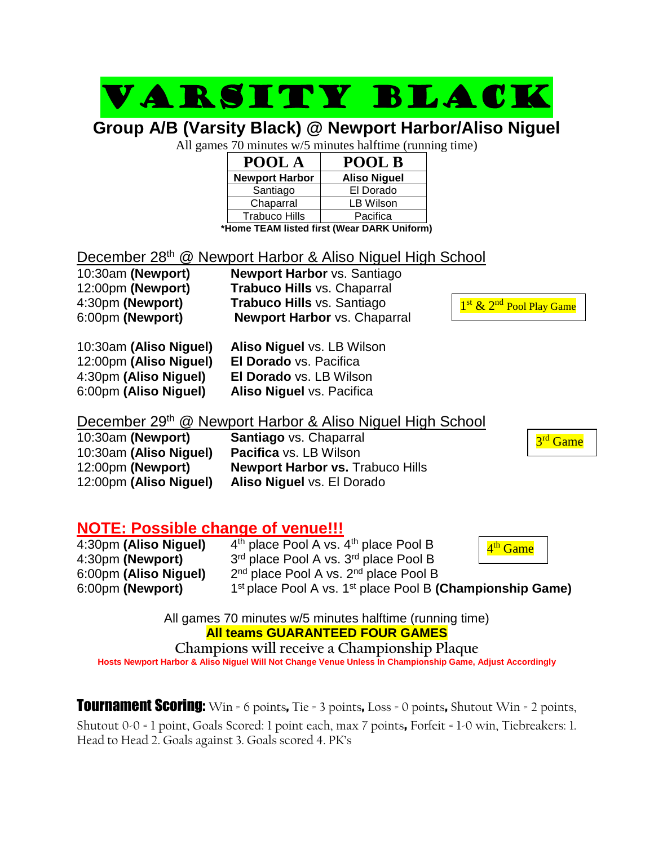## Varsity black

**Group A/B (Varsity Black) @ Newport Harbor/Aliso Niguel**

All games 70 minutes w/5 minutes halftime (running time)

| POOL A                | POOL B              |
|-----------------------|---------------------|
| <b>Newport Harbor</b> | <b>Aliso Niguel</b> |
| Santiago              | El Dorado           |
| Chaparral             | LB Wilson           |
| <b>Trabuco Hills</b>  | Pacifica            |
| --<br>. .<br>.        | .                   |

**\*Home TEAM listed first (Wear DARK Uniform)**

### December 28<sup>th</sup> @ Newport Harbor & Aliso Niguel High School

| 10:30am (Newport) | <b>Newport Harbor vs. Santiago</b>  |
|-------------------|-------------------------------------|
| 12:00pm (Newport) | <b>Trabuco Hills vs. Chaparral</b>  |
| 4:30pm (Newport)  | <b>Trabuco Hills vs. Santiago</b>   |
| 6:00pm (Newport)  | <b>Newport Harbor vs. Chaparral</b> |

| 10:30am (Aliso Niguel) | Aliso Niguel vs. LB Wilson |
|------------------------|----------------------------|
| 12:00pm (Aliso Niguel) | El Dorado vs. Pacifica     |
| 4:30pm (Aliso Niguel)  | El Dorado vs. LB Wilson    |
| 6:00pm (Aliso Niguel)  | Aliso Niguel vs. Pacifica  |

December 29<sup>th</sup> @ Newport Harbor & Aliso Niguel High School

| 10:30am (Newport)      | <b>Santiago</b> vs. Chaparral           |  |
|------------------------|-----------------------------------------|--|
| 10:30am (Aliso Niguel) | <b>Pacifica</b> vs. LB Wilson           |  |
| 12:00pm (Newport)      | <b>Newport Harbor vs. Trabuco Hills</b> |  |
| 12:00pm (Aliso Niguel) | Aliso Niguel vs. El Dorado              |  |

**NOTE: Possible change of venue!!!**

| 4:30pm (Aliso Niguel) | $4th$ place Pool A vs. $4th$ place Pool B                                         | 4 <sup>th</sup> Game |  |
|-----------------------|-----------------------------------------------------------------------------------|----------------------|--|
| 4:30pm (Newport)      | 3rd place Pool A vs. 3rd place Pool B                                             |                      |  |
| 6:00pm (Aliso Niguel) | $2nd$ place Pool A vs. $2nd$ place Pool B                                         |                      |  |
| 6:00pm (Newport)      | 1 <sup>st</sup> place Pool A vs. 1 <sup>st</sup> place Pool B (Championship Game) |                      |  |

All games 70 minutes w/5 minutes halftime (running time) **All teams GUARANTEED FOUR GAMES**

**Champions will receive a Championship Plaque Hosts Newport Harbor & Aliso Niguel Will Not Change Venue Unless In Championship Game, Adjust Accordingly**

**Tournament Scoring:** Win = 6 points, Tie = 3 points, Loss = 0 points, Shutout Win = 2 points, Shutout 0-0 = 1 point, Goals Scored: 1 point each, max 7 points, Forfeit = 1-0 win, Tiebreakers: 1. Head to Head 2. Goals against 3. Goals scored 4. PK's

1<sup>st</sup> & 2<sup>nd</sup> Pool Play Game

3<sup>rd</sup> Game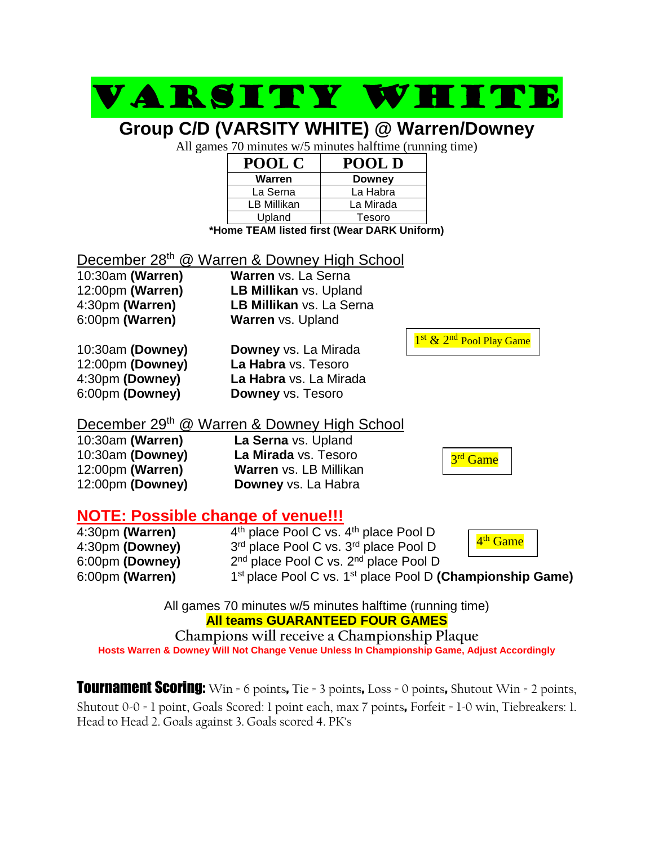#### VARSITY WHIT **Group C/D (VARSITY WHITE) @ Warren/Downey** All games 70 minutes w/5 minutes halftime (running time) **POOL C POOL D Warren Downey** La Serna  $\overline{\phantom{a}}$  La Habra LB Millikan | La Mirada Upland Tesoro **\*Home TEAM listed first (Wear DARK Uniform)** December 28<sup>th</sup> @ Warren & Downey High School 10:30am **(Warren) Warren** vs. La Serna 12:00pm **(Warren) LB Millikan** vs. Upland 4:30pm **(Warren) LB Millikan** vs. La Serna 6:00pm **(Warren) Warren** vs. Upland 10:30am **(Downey) Downey** vs. La Mirada 12:00pm **(Downey) La Habra** vs. Tesoro 4:30pm **(Downey) La Habra** vs. La Mirada 6:00pm **(Downey) Downey** vs. Tesoro December 29<sup>th</sup> @ Warren & Downey High School 10:30am **(Warren) La Serna** vs. Upland 10:30am **(Downey) La Mirada** vs. Tesoro 12:00pm **(Warren) Warren** vs. LB Millikan 12:00pm **(Downey) Downey** vs. La Habra **NOTE: Possible change of venue!!!** 4:30pm **(Warren)** 4 4<sup>th</sup> place Pool C vs. 4<sup>th</sup> place Pool D 4:30pm **(Downey)** 3<sup>rd</sup> place Pool C vs. 3<sup>rd</sup> place Pool D 6:00pm **(Downey)** 2 2<sup>nd</sup> place Pool C vs. 2<sup>nd</sup> place Pool D 6:00pm **(Warren)** 1 1<sup>st</sup> place Pool C vs. 1<sup>st</sup> place Pool D (Championship Game) 1<sup>st</sup> & 2<sup>nd</sup> Pool Play Game 3<sup>rd</sup> Game 4<sup>th</sup> Game

All games 70 minutes w/5 minutes halftime (running time) **All teams GUARANTEED FOUR GAMES**

**Champions will receive a Championship Plaque Hosts Warren & Downey Will Not Change Venue Unless In Championship Game, Adjust Accordingly**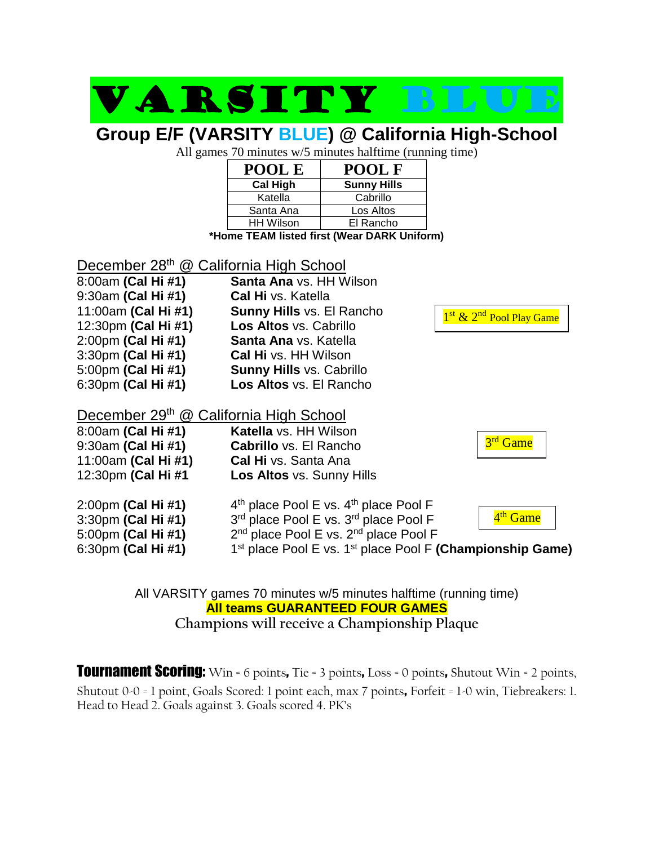# VARSITY BLU

### **Group E/F (VARSITY BLUE) @ California High-School**

All games 70 minutes w/5 minutes halftime (running time)

| POOL E           | <b>POOL F</b>      |
|------------------|--------------------|
| <b>Cal High</b>  | <b>Sunny Hills</b> |
| Katella          | Cabrillo           |
| Santa Ana        | Los Altos          |
| <b>HH Wilson</b> | El Rancho          |

**\*Home TEAM listed first (Wear DARK Uniform)**

| December 28th @ California High School                                               |                                                                                                                                                                                                                                          |                                                  |  |
|--------------------------------------------------------------------------------------|------------------------------------------------------------------------------------------------------------------------------------------------------------------------------------------------------------------------------------------|--------------------------------------------------|--|
| 8:00am (Cal Hi #1)                                                                   | <b>Santa Ana</b> vs. HH Wilson                                                                                                                                                                                                           |                                                  |  |
| 9:30am (Cal Hi #1)                                                                   | <b>Cal Hi</b> vs. Katella                                                                                                                                                                                                                |                                                  |  |
| 11:00am (Cal Hi #1)                                                                  | <b>Sunny Hills vs. El Rancho</b>                                                                                                                                                                                                         | 1 <sup>st</sup> & 2 <sup>nd</sup> Pool Play Game |  |
| 12:30pm (Cal Hi #1)                                                                  | Los Altos vs. Cabrillo                                                                                                                                                                                                                   |                                                  |  |
| 2:00pm (Cal Hi #1)                                                                   | Santa Ana vs. Katella                                                                                                                                                                                                                    |                                                  |  |
| 3:30pm (Cal Hi #1)                                                                   | <b>Cal Hi</b> vs. HH Wilson                                                                                                                                                                                                              |                                                  |  |
| 5:00pm (Cal Hi #1)                                                                   | <b>Sunny Hills vs. Cabrillo</b>                                                                                                                                                                                                          |                                                  |  |
| 6:30pm (Cal Hi #1)                                                                   | Los Altos vs. El Rancho                                                                                                                                                                                                                  |                                                  |  |
| December 29th @ California High School<br>8:00am (Cal Hi #1)                         | <b>Katella</b> vs. HH Wilson                                                                                                                                                                                                             | 3 <sup>rd</sup> Game                             |  |
| 9:30am (Cal Hi #1)<br>11:00am (Cal Hi #1)                                            | <b>Cabrillo</b> vs. El Rancho<br><b>Cal Hi</b> vs. Santa Ana                                                                                                                                                                             |                                                  |  |
| 12:30pm (Cal Hi #1                                                                   | Los Altos vs. Sunny Hills                                                                                                                                                                                                                |                                                  |  |
| 2:00pm (Cal Hi #1)<br>3:30pm (Cal Hi #1)<br>5:00pm (Cal Hi #1)<br>6:30pm (Cal Hi #1) | $4th$ place Pool E vs. $4th$ place Pool F<br>3rd place Pool E vs. 3rd place Pool F<br>2 <sup>nd</sup> place Pool E vs. 2 <sup>nd</sup> place Pool F<br>1 <sup>st</sup> place Pool E vs. 1 <sup>st</sup> place Pool F (Championship Game) | 4 <sup>th</sup> Game                             |  |
|                                                                                      |                                                                                                                                                                                                                                          |                                                  |  |

### All VARSITY games 70 minutes w/5 minutes halftime (running time) **All teams GUARANTEED FOUR GAMES Champions will receive a Championship Plaque**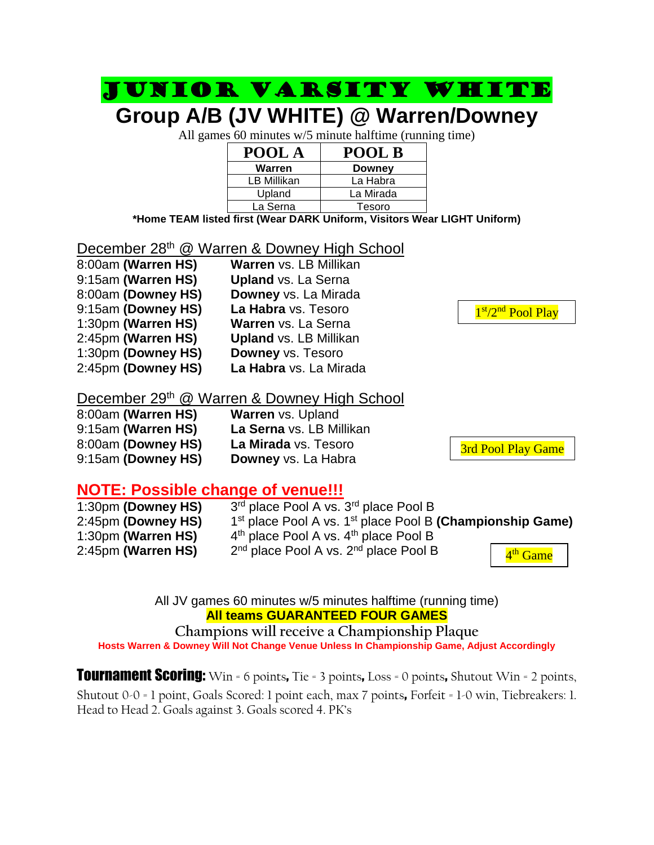## Junior Varsity WHITE

### **Group A/B (JV WHITE) @ Warren/Downey**

All games 60 minutes w/5 minute halftime (running time)

| POOL A      | POOL B        |
|-------------|---------------|
| Warren      | <b>Downey</b> |
| LB Millikan | La Habra      |
| Upland      | La Mirada     |
| La Serna    | Tesoro        |

**\*Home TEAM listed first (Wear DARK Uniform, Visitors Wear LIGHT Uniform)**

### December 28<sup>th</sup> @ Warren & Downey High School

| 8:00am (Warren HS) | Warren vs. LB Millikan        |
|--------------------|-------------------------------|
| 9:15am (Warren HS) | <b>Upland vs. La Serna</b>    |
| 8:00am (Downey HS) | Downey vs. La Mirada          |
| 9:15am (Downey HS) | La Habra vs. Tesoro           |
| 1:30pm (Warren HS) | Warren vs. La Serna           |
| 2:45pm (Warren HS) | <b>Upland vs. LB Millikan</b> |
| 1:30pm (Downey HS) | <b>Downey vs. Tesoro</b>      |
| 2:45pm (Downey HS) | La Habra vs. La Mirada        |

### December 29th @ Warren & Downey High School

| 8:00am (Warren HS) | <b>Warren vs. Upland</b> |
|--------------------|--------------------------|
| 9:15am (Warren HS) | La Serna vs. LB Mi       |
| 8:00am (Downey HS) | La Mirada vs. Teso       |
| 9:15am (Downey HS) | <b>Downey</b> ys. La Hab |

**La Serna** vs. LB Millikan **La Mirada** vs. Tesoro

**Downey vs. La Habra** 

### **NOTE: Possible change of venue!!!**

| 1:30pm (Downey HS) | 3rd place Pool A vs. 3rd place Pool B                         |                      |  |
|--------------------|---------------------------------------------------------------|----------------------|--|
| 2:45pm (Downey HS) | $1st$ place Pool A vs. $1st$ place Pool B (Championship Game) |                      |  |
| 1:30pm (Warren HS) | $4th$ place Pool A vs. $4th$ place Pool B                     |                      |  |
| 2:45pm (Warren HS) | $2nd$ place Pool A vs. $2nd$ place Pool B                     | 4 <sup>th</sup> Game |  |

All JV games 60 minutes w/5 minutes halftime (running time) **All teams GUARANTEED FOUR GAMES**

**Champions will receive a Championship Plaque Hosts Warren & Downey Will Not Change Venue Unless In Championship Game, Adjust Accordingly**

**Tournament Scoring:** Win = 6 points, Tie = 3 points, Loss = 0 points, Shutout Win = 2 points, Shutout 0-0 = 1 point, Goals Scored: 1 point each, max 7 points, Forfeit = 1-0 win, Tiebreakers: 1. Head to Head 2. Goals against 3. Goals scored 4. PK's

1st/2<sup>nd</sup> Pool Play Games and the control of the control of the control of the control of the control of the control of the control of the control of the control of the control of the control of the control of the control of the control of th

3rd Pool Play Game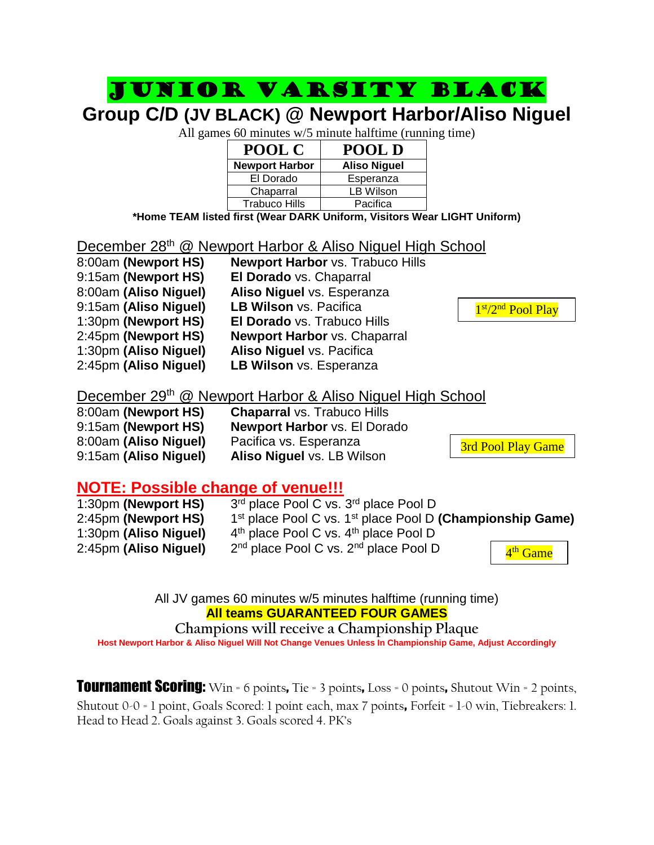### Junior Varsity black

### **Group C/D (JV BLACK) @ Newport Harbor/Aliso Niguel**

All games 60 minutes w/5 minute halftime (running time)

| POOL C                | POOL D              |
|-----------------------|---------------------|
| <b>Newport Harbor</b> | <b>Aliso Niguel</b> |
| El Dorado             | Esperanza           |
| Chaparral             | LB Wilson           |
| <b>Trabuco Hills</b>  | Pacifica            |

**\*Home TEAM listed first (Wear DARK Uniform, Visitors Wear LIGHT Uniform)**

### December 28<sup>th</sup> @ Newport Harbor & Aliso Niguel High School

| 8:00am (Newport HS)   | Newport Harbor vs. Trabuco Hills    |
|-----------------------|-------------------------------------|
| 9:15am (Newport HS)   | El Dorado vs. Chaparral             |
| 8:00am (Aliso Niguel) | Aliso Niguel vs. Esperanza          |
| 9:15am (Aliso Niguel) | LB Wilson vs. Pacifica              |
| 1:30pm (Newport HS)   | El Dorado vs. Trabuco Hills         |
| 2:45pm (Newport HS)   | <b>Newport Harbor vs. Chaparral</b> |
| 1:30pm (Aliso Niguel) | Aliso Niguel vs. Pacifica           |
| 2:45pm (Aliso Niguel) | LB Wilson vs. Esperanza             |

### December 29<sup>th</sup> @ Newport Harbor & Aliso Niguel High School

| 8:00am (Newport HS)   | <b>Chaparral vs. Trabuco Hills</b>  |
|-----------------------|-------------------------------------|
| 9:15am (Newport HS)   | <b>Newport Harbor vs. El Dorado</b> |
| 8:00am (Aliso Niguel) | Pacifica vs. Esperanza              |
| 9:15am (Aliso Niguel) | Aliso Niguel vs. LB Wilson          |

3rd Pool Play Game

### **NOTE: Possible change of venue!!!**

| 1:30pm (Newport HS)   | 3rd place Pool C vs. 3rd place Pool D                         |                      |
|-----------------------|---------------------------------------------------------------|----------------------|
| 2:45pm (Newport HS)   | $1st$ place Pool C vs. $1st$ place Pool D (Championship Game) |                      |
| 1:30pm (Aliso Niguel) | $4th$ place Pool C vs. $4th$ place Pool D                     |                      |
| 2:45pm (Aliso Niguel) | 2 <sup>nd</sup> place Pool C vs. 2 <sup>nd</sup> place Pool D | 4 <sup>th</sup> Game |

All JV games 60 minutes w/5 minutes halftime (running time) **All teams GUARANTEED FOUR GAMES**

#### **Champions will receive a Championship Plaque**

**Host Newport Harbor & Aliso Niguel Will Not Change Venues Unless In Championship Game, Adjust Accordingly**

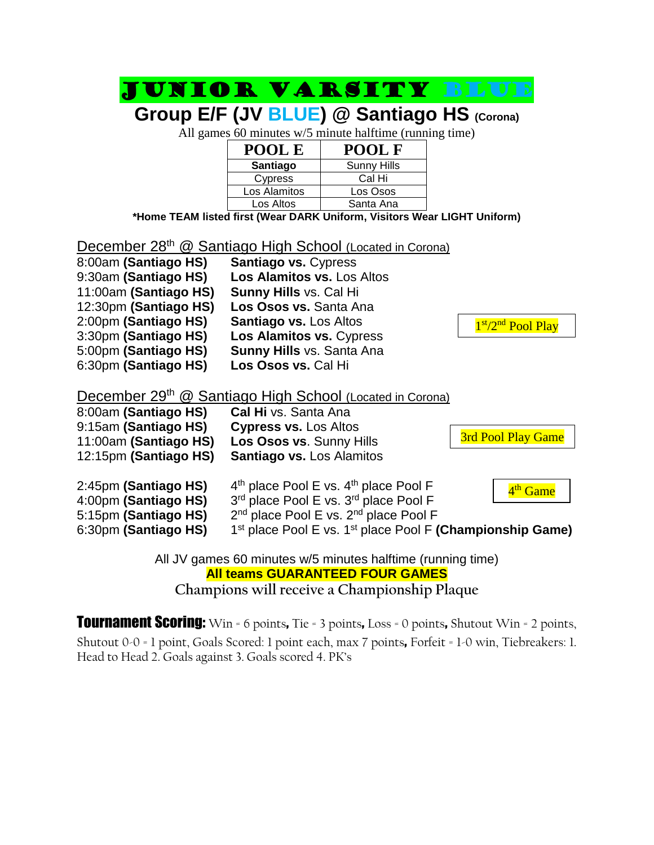|                                                                      |                                                               | Group E/F (JV BLUE) @ Santiago HS (Corona)                               |                                                               |  |  |
|----------------------------------------------------------------------|---------------------------------------------------------------|--------------------------------------------------------------------------|---------------------------------------------------------------|--|--|
|                                                                      |                                                               | All games 60 minutes w/5 minute halftime (running time)                  |                                                               |  |  |
|                                                                      | POOL E                                                        | <b>POOL F</b>                                                            |                                                               |  |  |
|                                                                      | <b>Santiago</b>                                               | <b>Sunny Hills</b>                                                       |                                                               |  |  |
|                                                                      | Cypress                                                       | Cal Hi                                                                   |                                                               |  |  |
|                                                                      | Los Alamitos                                                  | Los Osos                                                                 |                                                               |  |  |
|                                                                      | Los Altos                                                     | Santa Ana                                                                |                                                               |  |  |
|                                                                      |                                                               | *Home TEAM listed first (Wear DARK Uniform, Visitors Wear LIGHT Uniform) |                                                               |  |  |
|                                                                      |                                                               |                                                                          |                                                               |  |  |
| December 28 <sup>th</sup> @ Santiago High School (Located in Corona) |                                                               |                                                                          |                                                               |  |  |
| 8:00am (Santiago HS)                                                 | Santiago vs. Cypress                                          |                                                                          |                                                               |  |  |
| 9:30am (Santiago HS)                                                 | Los Alamitos vs. Los Altos                                    |                                                                          |                                                               |  |  |
| 11:00am (Santiago HS)                                                | <b>Sunny Hills vs. Cal Hill</b>                               |                                                                          |                                                               |  |  |
| 12:30pm (Santiago HS)                                                | Los Osos vs. Santa Ana                                        |                                                                          |                                                               |  |  |
| 2:00pm (Santiago HS)                                                 | <b>Santiago vs. Los Altos</b>                                 |                                                                          | 1st/2 <sup>nd</sup> Pool Play                                 |  |  |
| 3:30pm (Santiago HS)                                                 | Los Alamitos vs. Cypress                                      |                                                                          |                                                               |  |  |
| 5:00pm (Santiago HS)                                                 | Sunny Hills vs. Santa Ana                                     |                                                                          |                                                               |  |  |
| 6:30pm (Santiago HS)                                                 | Los Osos vs. Cal Hi                                           |                                                                          |                                                               |  |  |
|                                                                      |                                                               |                                                                          |                                                               |  |  |
| December 29 <sup>th</sup> @ Santiago High School (Located in Corona) |                                                               |                                                                          |                                                               |  |  |
| 8:00am (Santiago HS)                                                 | Cal Hi vs. Santa Ana                                          |                                                                          |                                                               |  |  |
| 9:15am (Santiago HS)                                                 | <b>Cypress vs. Los Altos</b>                                  |                                                                          |                                                               |  |  |
| 11:00am (Santiago HS)                                                | Los Osos vs. Sunny Hills                                      |                                                                          | 3rd Pool Play Game                                            |  |  |
| 12:15pm (Santiago HS)                                                | <b>Santiago vs. Los Alamitos</b>                              |                                                                          |                                                               |  |  |
|                                                                      |                                                               |                                                                          |                                                               |  |  |
| 2:45pm (Santiago HS)                                                 |                                                               | 4 <sup>th</sup> place Pool E vs. 4 <sup>th</sup> place Pool F            |                                                               |  |  |
| 4:00pm (Santiago HS)                                                 | 4 <sup>th</sup> Game<br>3rd place Pool E vs. 3rd place Pool F |                                                                          |                                                               |  |  |
| 5:15pm (Santiago HS)                                                 | 2 <sup>nd</sup> place Pool E vs. 2 <sup>nd</sup> place Pool F |                                                                          |                                                               |  |  |
| 6:30pm (Santiago HS)                                                 |                                                               |                                                                          | $1st$ place Pool E vs. $1st$ place Pool F (Championship Game) |  |  |
|                                                                      |                                                               |                                                                          |                                                               |  |  |
|                                                                      |                                                               | All JV games 60 minutes w/5 minutes halftime (running time)              |                                                               |  |  |
|                                                                      |                                                               | <b>All teams GUARANTEED FOUR GAMES</b>                                   |                                                               |  |  |
|                                                                      | $\sim$ 11                                                     |                                                                          |                                                               |  |  |

JUNIOR VARSITY BLU

**Champions will receive a Championship Plaque**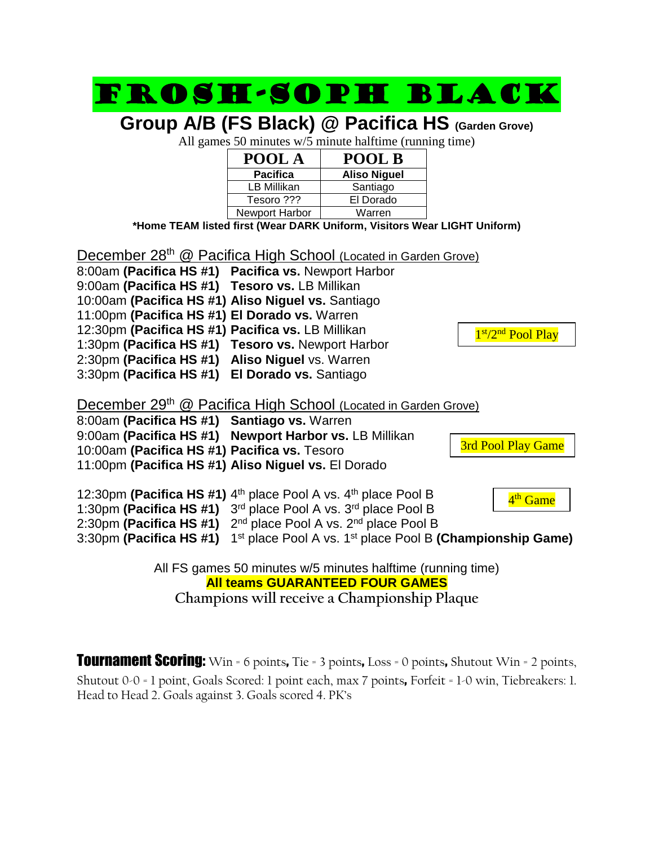## Frosh-soph black

**Group A/B (FS Black) @ Pacifica HS (Garden Grove)**

All games 50 minutes w/5 minute halftime (running time)

| POOL A          | <b>POOL B</b>       |
|-----------------|---------------------|
| <b>Pacifica</b> | <b>Aliso Niguel</b> |
| LB Millikan     | Santiago            |
| Tesoro ???      | El Dorado           |
| Newport Harbor  | Warren              |

**\*Home TEAM listed first (Wear DARK Uniform, Visitors Wear LIGHT Uniform)**

December 28<sup>th</sup> @ Pacifica High School (Located in Garden Grove) 8:00am **(Pacifica HS #1) Pacifica vs.** Newport Harbor 9:00am **(Pacifica HS #1) Tesoro vs.** LB Millikan 10:00am **(Pacifica HS #1) Aliso Niguel vs.** Santiago 11:00pm **(Pacifica HS #1) El Dorado vs.** Warren 12:30pm **(Pacifica HS #1) Pacifica vs.** LB Millikan 1:30pm **(Pacifica HS #1) Tesoro vs.** Newport Harbor 2:30pm **(Pacifica HS #1) Aliso Niguel** vs. Warren 3:30pm **(Pacifica HS #1) El Dorado vs.** Santiago December 29<sup>th</sup> @ Pacifica High School (Located in Garden Grove) 8:00am **(Pacifica HS #1) Santiago vs.** Warren 9:00am **(Pacifica HS #1) Newport Harbor vs.** LB Millikan 10:00am **(Pacifica HS #1) Pacifica vs.** Tesoro 11:00pm **(Pacifica HS #1) Aliso Niguel vs.** El Dorado 12:30pm (Pacifica HS #1) 4<sup>th</sup> place Pool A vs. 4<sup>th</sup> place Pool B 1:30pm **(Pacifica HS #1)** 3 rd place Pool A vs. 3rd place Pool B 2:30pm **(Pacifica HS #1)** 2<sup>nd</sup> place Pool A vs. 2<sup>nd</sup> place Pool B 3:30pm (Pacifica HS #1) 1<sup>st</sup> place Pool A vs. 1<sup>st</sup> place Pool B (Championship Game) All FS games 50 minutes w/5 minutes halftime (running time) **All teams GUARANTEED FOUR GAMES Champions will receive a Championship Plaque** 1st/2<sup>nd</sup> Pool Play Game 3rd Pool Play Game 4<sup>th</sup> Game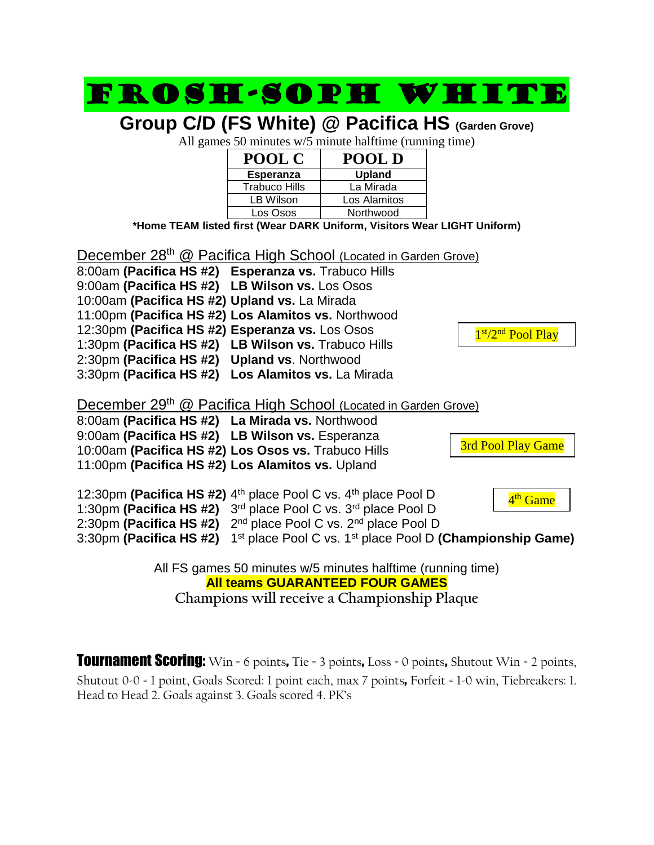

**Champions will receive a Championship Plaque**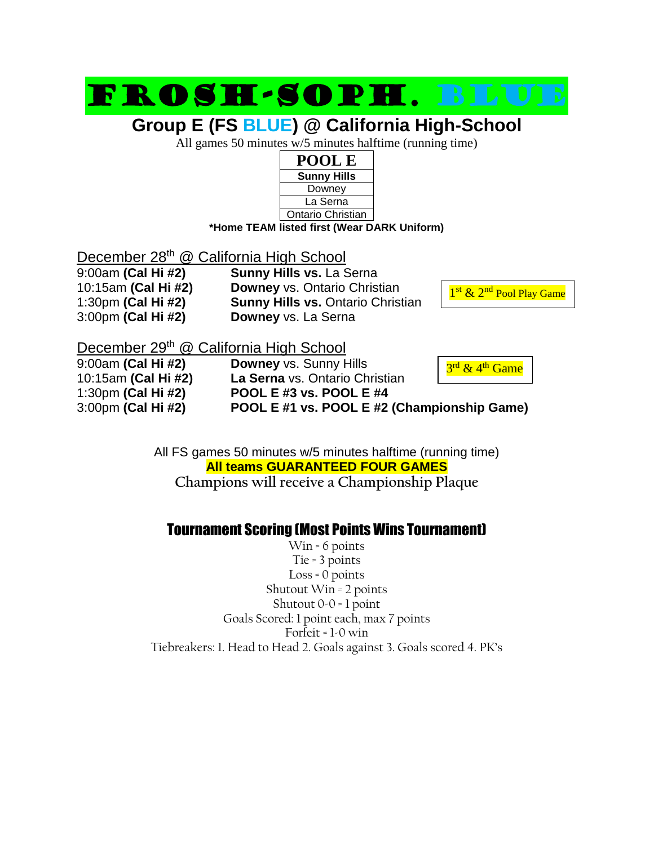## Frosh-soph. Blue

### **Group E (FS BLUE) @ California High-School**

All games 50 minutes w/5 minutes halftime (running time)



December 28<sup>th</sup> @ California High School 3:00pm **(Cal Hi #2) Downey** vs. La Serna

9:00am **(Cal Hi #2) Sunny Hills vs.** La Serna 10:15am **(Cal Hi #2) Downey** vs. Ontario Christian 1:30pm **(Cal Hi #2) Sunny Hills vs.** Ontario Christian



December 29<sup>th</sup> @ California High School

9:00am **(Cal Hi #2) Downey** vs. Sunny Hills 10:15am **(Cal Hi #2) La Serna** vs. Ontario Christian 1:30pm **(Cal Hi #2) POOL E #3 vs. POOL E #4** 3:00pm **(Cal Hi #2) POOL E #1 vs. POOL E #2 (Championship Game)**

3<sup>rd</sup> & 4<sup>th</sup> Game

All FS games 50 minutes w/5 minutes halftime (running time) **All teams GUARANTEED FOUR GAMES Champions will receive a Championship Plaque**

### Tournament Scoring (Most Points Wins Tournament)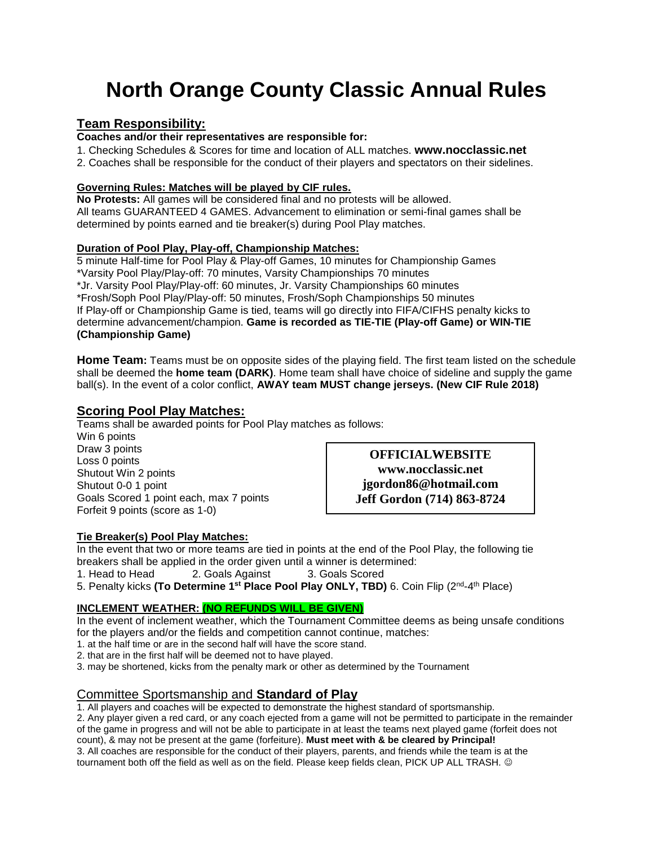## **North Orange County Classic Annual Rules**

### **Team Responsibility:**

**Coaches and/or their representatives are responsible for:** 

1. Checking Schedules & Scores for time and location of ALL matches. **www.nocclassic.net**

2. Coaches shall be responsible for the conduct of their players and spectators on their sidelines.

#### **Governing Rules: Matches will be played by CIF rules.**

**No Protests:** All games will be considered final and no protests will be allowed. All teams GUARANTEED 4 GAMES. Advancement to elimination or semi-final games shall be determined by points earned and tie breaker(s) during Pool Play matches.

#### **Duration of Pool Play, Play-off, Championship Matches:**

5 minute Half-time for Pool Play & Play-off Games, 10 minutes for Championship Games \*Varsity Pool Play/Play-off: 70 minutes, Varsity Championships 70 minutes \*Jr. Varsity Pool Play/Play-off: 60 minutes, Jr. Varsity Championships 60 minutes \*Frosh/Soph Pool Play/Play-off: 50 minutes, Frosh/Soph Championships 50 minutes If Play-off or Championship Game is tied, teams will go directly into FIFA/CIFHS penalty kicks to determine advancement/champion. **Game is recorded as TIE-TIE (Play-off Game) or WIN-TIE (Championship Game)**

**Home Team:** Teams must be on opposite sides of the playing field. The first team listed on the schedule shall be deemed the **home team (DARK)**. Home team shall have choice of sideline and supply the game ball(s). In the event of a color conflict, **AWAY team MUST change jerseys. (New CIF Rule 2018)**

### **Scoring Pool Play Matches:**

Teams shall be awarded points for Pool Play matches as follows:

Win 6 points Draw 3 points Loss 0 points Shutout Win 2 points Shutout 0-0 1 point Goals Scored 1 point each, max 7 points Forfeit 9 points (score as 1-0)

**OFFICIALWEBSITE www.nocclassic.net jgordon86@hotmail.com Jeff Gordon (714) 863-8724**

#### **Tie Breaker(s) Pool Play Matches:**

In the event that two or more teams are tied in points at the end of the Pool Play, the following tie breakers shall be applied in the order given until a winner is determined: 1. Head to Head 2. Goals Against 3. Goals Scored 5. Penalty kicks **(To Determine 1st Place Pool Play ONLY, TBD)** 6. Coin Flip (2nd-4 th Place)

#### **INCLEMENT WEATHER: (NO REFUNDS WILL BE GIVEN)**

In the event of inclement weather, which the Tournament Committee deems as being unsafe conditions for the players and/or the fields and competition cannot continue, matches:

1. at the half time or are in the second half will have the score stand.

2. that are in the first half will be deemed not to have played.

3. may be shortened, kicks from the penalty mark or other as determined by the Tournament

### Committee Sportsmanship and **Standard of Play**

1. All players and coaches will be expected to demonstrate the highest standard of sportsmanship.

2. Any player given a red card, or any coach ejected from a game will not be permitted to participate in the remainder of the game in progress and will not be able to participate in at least the teams next played game (forfeit does not

count), & may not be present at the game (forfeiture). **Must meet with & be cleared by Principal!**  3. All coaches are responsible for the conduct of their players, parents, and friends while the team is at the tournament both off the field as well as on the field. Please keep fields clean, PICK UP ALL TRASH. ©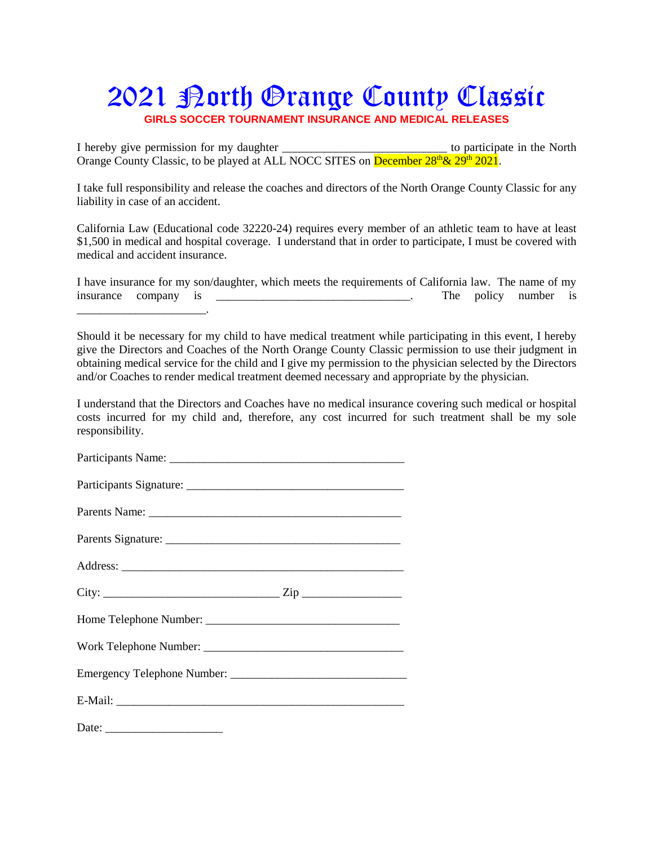### 2021 Porth Orange County Classic **GIRLS SOCCER TOURNAMENT INSURANCE AND MEDICAL RELEASES**

I hereby give permission for my daughter to participate in the North Orange County Classic, to be played at ALL NOCC SITES on December  $28^{th} \& 29^{th} 2021$ .

I take full responsibility and release the coaches and directors of the North Orange County Classic for any liability in case of an accident.

California Law (Educational code 32220-24) requires every member of an athletic team to have at least \$1,500 in medical and hospital coverage. I understand that in order to participate, I must be covered with medical and accident insurance.

|                      |  | I have insurance for my son/daughter, which meets the requirements of California law. The name of my |  |                      |  |
|----------------------|--|------------------------------------------------------------------------------------------------------|--|----------------------|--|
| insurance company is |  |                                                                                                      |  | The policy number is |  |

Should it be necessary for my child to have medical treatment while participating in this event, I hereby give the Directors and Coaches of the North Orange County Classic permission to use their judgment in obtaining medical service for the child and I give my permission to the physician selected by the Directors and/or Coaches to render medical treatment deemed necessary and appropriate by the physician.

I understand that the Directors and Coaches have no medical insurance covering such medical or hospital costs incurred for my child and, therefore, any cost incurred for such treatment shall be my sole responsibility.

Participants Name: \_\_\_\_\_\_\_\_\_\_\_\_\_\_\_\_\_\_\_\_\_\_\_\_\_\_\_\_\_\_\_\_\_\_\_\_\_\_\_\_

| Participants Signature: |  |
|-------------------------|--|
|                         |  |

Parents Name:

| Parents Signature: |  |
|--------------------|--|
|                    |  |

| Address: |  |  |  |
|----------|--|--|--|
|          |  |  |  |

| City:                  | Zir |
|------------------------|-----|
|                        |     |
| Home Telephone Number: |     |

| Work Telephone Number: |  |
|------------------------|--|
|                        |  |

| <b>Emergency Telephone Number:</b> |  |
|------------------------------------|--|
|                                    |  |

| E-Mail: |  |  |  |
|---------|--|--|--|
|         |  |  |  |

Date:

\_\_\_\_\_\_\_\_\_\_\_\_\_\_\_\_\_\_\_\_\_\_.